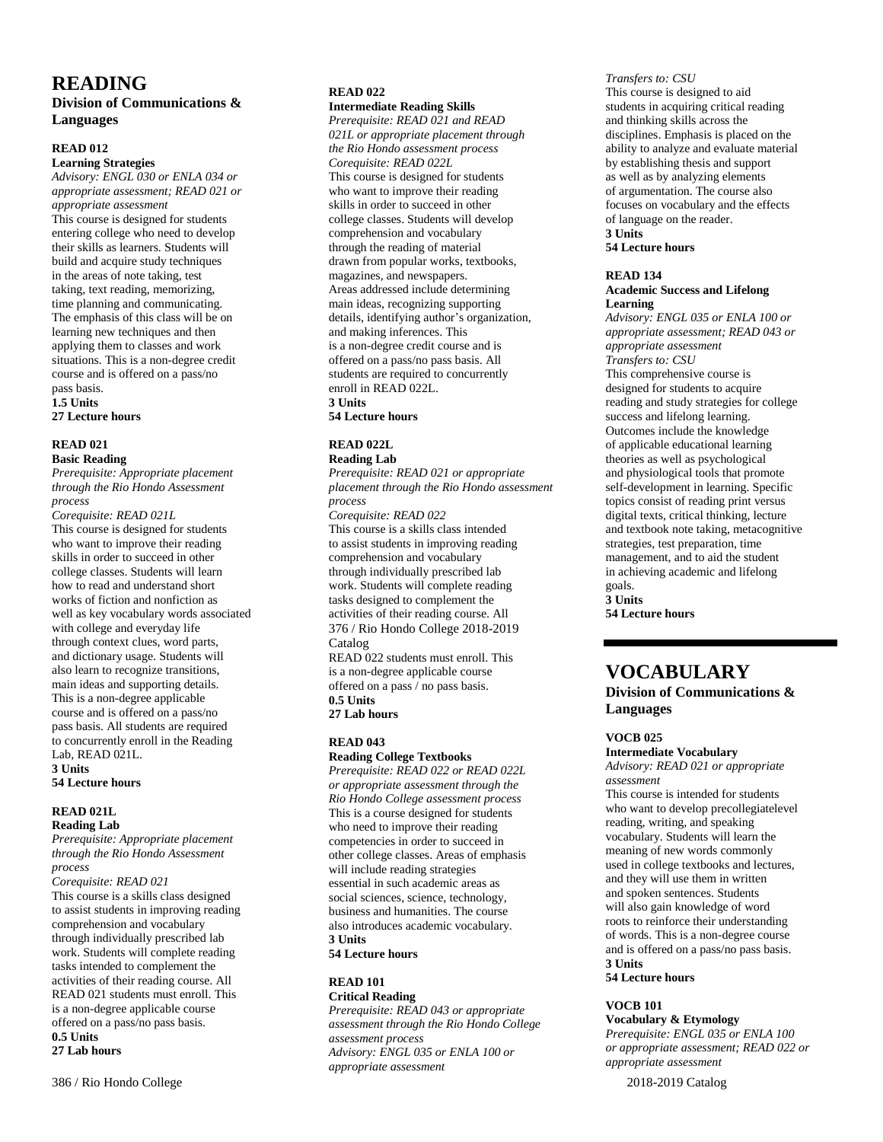# **READING**

# **Division of Communications & Languages**

## **READ 012**

#### **Learning Strategies**

*Advisory: ENGL 030 or ENLA 034 or appropriate assessment; READ 021 or appropriate assessment*

This course is designed for students entering college who need to develop their skills as learners. Students will build and acquire study techniques in the areas of note taking, test taking, text reading, memorizing, time planning and communicating. The emphasis of this class will be on learning new techniques and then applying them to classes and work situations. This is a non-degree credit course and is offered on a pass/no pass basis. **1.5 Units**

**27 Lecture hours**

#### **READ 021 Basic Reading**

*Prerequisite: Appropriate placement through the Rio Hondo Assessment process*

*Corequisite: READ 021L* This course is designed for students who want to improve their reading skills in order to succeed in other college classes. Students will learn how to read and understand short works of fiction and nonfiction as well as key vocabulary words associated with college and everyday life through context clues, word parts, and dictionary usage. Students will also learn to recognize transitions, main ideas and supporting details. This is a non-degree applicable course and is offered on a pass/no pass basis. All students are required to concurrently enroll in the Reading Lab, READ 021L. **3 Units**

## **54 Lecture hours**

# **READ 021L**

**Reading Lab** *Prerequisite: Appropriate placement through the Rio Hondo Assessment process*

*Corequisite: READ 021*

This course is a skills class designed to assist students in improving reading comprehension and vocabulary through individually prescribed lab work. Students will complete reading tasks intended to complement the activities of their reading course. All READ 021 students must enroll. This is a non-degree applicable course offered on a pass/no pass basis. **0.5 Units**

## **27 Lab hours**

# **READ 022**

**Intermediate Reading Skills** *Prerequisite: READ 021 and READ 021L or appropriate placement through the Rio Hondo assessment process Corequisite: READ 022L* This course is designed for students who want to improve their reading skills in order to succeed in other college classes. Students will develop comprehension and vocabulary through the reading of material drawn from popular works, textbooks, magazines, and newspapers. Areas addressed include determining main ideas, recognizing supporting details, identifying author's organization, and making inferences. This is a non-degree credit course and is offered on a pass/no pass basis. All students are required to concurrently enroll in READ 022L. **3 Units**

**54 Lecture hours**

#### **READ 022L Reading Lab**

*Prerequisite: READ 021 or appropriate placement through the Rio Hondo assessment process*

*Corequisite: READ 022* This course is a skills class intended to assist students in improving reading comprehension and vocabulary through individually prescribed lab work. Students will complete reading tasks designed to complement the activities of their reading course. All 376 / Rio Hondo College 2018-2019 Catalog READ 022 students must enroll. This

is a non-degree applicable course offered on a pass / no pass basis. **0.5 Units 27 Lab hours**

## **READ 043**

**Reading College Textbooks**

*Prerequisite: READ 022 or READ 022L or appropriate assessment through the Rio Hondo College assessment process* This is a course designed for students who need to improve their reading competencies in order to succeed in other college classes. Areas of emphasis will include reading strategies essential in such academic areas as social sciences, science, technology, business and humanities. The course also introduces academic vocabulary. **3 Units**

**54 Lecture hours**

#### **READ 101 Critical Reading**

*Prerequisite: READ 043 or appropriate assessment through the Rio Hondo College assessment process Advisory: ENGL 035 or ENLA 100 or appropriate assessment*

## *Transfers to: CSU*

This course is designed to aid students in acquiring critical reading and thinking skills across the disciplines. Emphasis is placed on the ability to analyze and evaluate material by establishing thesis and support as well as by analyzing elements of argumentation. The course also focuses on vocabulary and the effects of language on the reader. **3 Units**

**54 Lecture hours**

## **READ 134**

#### **Academic Success and Lifelong Learning**

*Advisory: ENGL 035 or ENLA 100 or appropriate assessment; READ 043 or appropriate assessment Transfers to: CSU*

This comprehensive course is designed for students to acquire reading and study strategies for college success and lifelong learning. Outcomes include the knowledge of applicable educational learning theories as well as psychological and physiological tools that promote self-development in learning. Specific topics consist of reading print versus digital texts, critical thinking, lecture and textbook note taking, metacognitive strategies, test preparation, time management, and to aid the student in achieving academic and lifelong goals. **3 Units**

**54 Lecture hours**

# **VOCABULARY**

**Division of Communications & Languages**

## **VOCB 025**

**Intermediate Vocabulary**

*Advisory: READ 021 or appropriate assessment*

This course is intended for students who want to develop precollegiatelevel reading, writing, and speaking vocabulary. Students will learn the meaning of new words commonly used in college textbooks and lectures, and they will use them in written and spoken sentences. Students will also gain knowledge of word roots to reinforce their understanding of words. This is a non-degree course and is offered on a pass/no pass basis. **3 Units**

**54 Lecture hours**

## **VOCB 101**

**Vocabulary & Etymology** *Prerequisite: ENGL 035 or ENLA 100 or appropriate assessment; READ 022 or appropriate assessment*